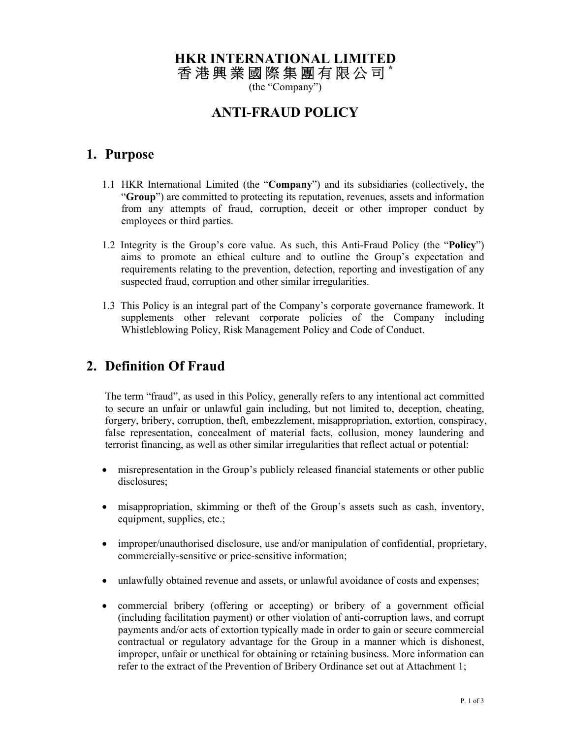# **HKR INTERNATIONAL LIMITED**

香 港 興 業 國 際 集 團 有 限 公 司 **\*** 

(the "Company")

#### **ANTI-FRAUD POLICY**

#### **1. Purpose**

- 1.1 HKR International Limited (the "**Company**") and its subsidiaries (collectively, the "**Group**") are committed to protecting its reputation, revenues, assets and information from any attempts of fraud, corruption, deceit or other improper conduct by employees or third parties.
- 1.2 Integrity is the Group's core value. As such, this Anti-Fraud Policy (the "**Policy**") aims to promote an ethical culture and to outline the Group's expectation and requirements relating to the prevention, detection, reporting and investigation of any suspected fraud, corruption and other similar irregularities.
- 1.3 This Policy is an integral part of the Company's corporate governance framework. It supplements other relevant corporate policies of the Company including Whistleblowing Policy, Risk Management Policy and Code of Conduct.

# **2. Definition Of Fraud**

The term "fraud", as used in this Policy, generally refers to any intentional act committed to secure an unfair or unlawful gain including, but not limited to, deception, cheating, forgery, bribery, corruption, theft, embezzlement, misappropriation, extortion, conspiracy, false representation, concealment of material facts, collusion, money laundering and terrorist financing, as well as other similar irregularities that reflect actual or potential:

- misrepresentation in the Group's publicly released financial statements or other public disclosures;
- misappropriation, skimming or theft of the Group's assets such as cash, inventory, equipment, supplies, etc.;
- improper/unauthorised disclosure, use and/or manipulation of confidential, proprietary, commercially-sensitive or price-sensitive information;
- unlawfully obtained revenue and assets, or unlawful avoidance of costs and expenses;
- commercial bribery (offering or accepting) or bribery of a government official (including facilitation payment) or other violation of anti-corruption laws, and corrupt payments and/or acts of extortion typically made in order to gain or secure commercial contractual or regulatory advantage for the Group in a manner which is dishonest, improper, unfair or unethical for obtaining or retaining business. More information can refer to the extract of the Prevention of Bribery Ordinance set out at Attachment 1;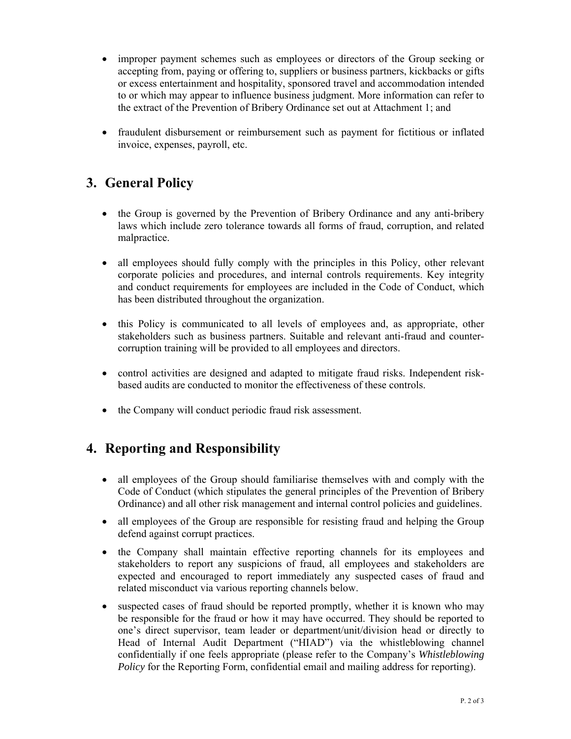- improper payment schemes such as employees or directors of the Group seeking or accepting from, paying or offering to, suppliers or business partners, kickbacks or gifts or excess entertainment and hospitality, sponsored travel and accommodation intended to or which may appear to influence business judgment. More information can refer to the extract of the Prevention of Bribery Ordinance set out at Attachment 1; and
- fraudulent disbursement or reimbursement such as payment for fictitious or inflated invoice, expenses, payroll, etc.

# **3. General Policy**

- the Group is governed by the Prevention of Bribery Ordinance and any anti-bribery laws which include zero tolerance towards all forms of fraud, corruption, and related malpractice.
- all employees should fully comply with the principles in this Policy, other relevant corporate policies and procedures, and internal controls requirements. Key integrity and conduct requirements for employees are included in the Code of Conduct, which has been distributed throughout the organization.
- this Policy is communicated to all levels of employees and, as appropriate, other stakeholders such as business partners. Suitable and relevant anti-fraud and countercorruption training will be provided to all employees and directors.
- control activities are designed and adapted to mitigate fraud risks. Independent riskbased audits are conducted to monitor the effectiveness of these controls.
- the Company will conduct periodic fraud risk assessment.

# **4. Reporting and Responsibility**

- all employees of the Group should familiarise themselves with and comply with the Code of Conduct (which stipulates the general principles of the Prevention of Bribery Ordinance) and all other risk management and internal control policies and guidelines.
- all employees of the Group are responsible for resisting fraud and helping the Group defend against corrupt practices.
- the Company shall maintain effective reporting channels for its employees and stakeholders to report any suspicions of fraud, all employees and stakeholders are expected and encouraged to report immediately any suspected cases of fraud and related misconduct via various reporting channels below.
- suspected cases of fraud should be reported promptly, whether it is known who may be responsible for the fraud or how it may have occurred. They should be reported to one's direct supervisor, team leader or department/unit/division head or directly to Head of Internal Audit Department ("HIAD") via the whistleblowing channel confidentially if one feels appropriate (please refer to the Company's *Whistleblowing Policy* for the Reporting Form, confidential email and mailing address for reporting).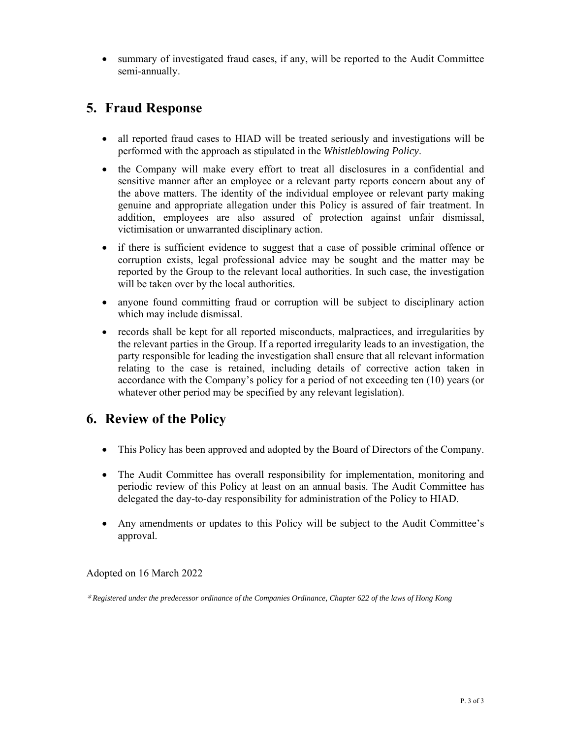summary of investigated fraud cases, if any, will be reported to the Audit Committee semi-annually.

# **5. Fraud Response**

- all reported fraud cases to HIAD will be treated seriously and investigations will be performed with the approach as stipulated in the *Whistleblowing Policy*.
- the Company will make every effort to treat all disclosures in a confidential and sensitive manner after an employee or a relevant party reports concern about any of the above matters. The identity of the individual employee or relevant party making genuine and appropriate allegation under this Policy is assured of fair treatment. In addition, employees are also assured of protection against unfair dismissal, victimisation or unwarranted disciplinary action.
- if there is sufficient evidence to suggest that a case of possible criminal offence or corruption exists, legal professional advice may be sought and the matter may be reported by the Group to the relevant local authorities. In such case, the investigation will be taken over by the local authorities.
- anyone found committing fraud or corruption will be subject to disciplinary action which may include dismissal.
- records shall be kept for all reported misconducts, malpractices, and irregularities by the relevant parties in the Group. If a reported irregularity leads to an investigation, the party responsible for leading the investigation shall ensure that all relevant information relating to the case is retained, including details of corrective action taken in accordance with the Company's policy for a period of not exceeding ten (10) years (or whatever other period may be specified by any relevant legislation).

# **6. Review of the Policy**

- This Policy has been approved and adopted by the Board of Directors of the Company.
- The Audit Committee has overall responsibility for implementation, monitoring and periodic review of this Policy at least on an annual basis. The Audit Committee has delegated the day-to-day responsibility for administration of the Policy to HIAD.
- Any amendments or updates to this Policy will be subject to the Audit Committee's approval.

Adopted on 16 March 2022

\* *Registered under the predecessor ordinance of the Companies Ordinance, Chapter 622 of the laws of Hong Kong*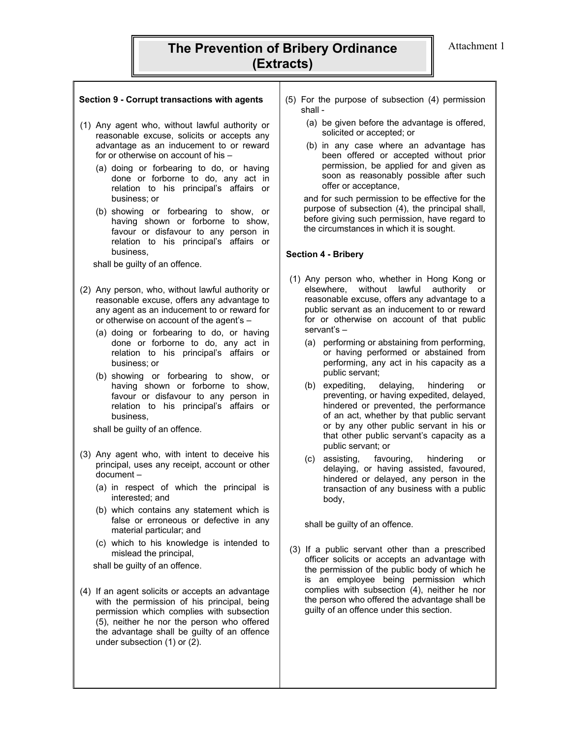### **The Prevention of Bribery Ordinance | Attachment 1 (Extracts)**

- (1) Any agent who, without lawful authority or reasonable excuse, solicits or accepts any advantage as an inducement to or reward for or otherwise on account of his –
	- (a) doing or forbearing to do, or having done or forborne to do, any act in relation to his principal's affairs or business; or
	- (b) showing or forbearing to show, or having shown or forborne to show, favour or disfavour to any person in relation to his principal's affairs or business,

shall be guilty of an offence.

- (2) Any person, who, without lawful authority or reasonable excuse, offers any advantage to any agent as an inducement to or reward for or otherwise on account of the agent's –
	- (a) doing or forbearing to do, or having done or forborne to do, any act in relation to his principal's affairs or business; or
	- (b) showing or forbearing to show, or having shown or forborne to show, favour or disfavour to any person in relation to his principal's affairs or business,

shall be guilty of an offence.

- (3) Any agent who, with intent to deceive his principal, uses any receipt, account or other document –
	- (a) in respect of which the principal is interested; and
	- (b) which contains any statement which is false or erroneous or defective in any material particular; and
	- (c) which to his knowledge is intended to mislead the principal,

shall be guilty of an offence.

(4) If an agent solicits or accepts an advantage with the permission of his principal, being permission which complies with subsection (5), neither he nor the person who offered the advantage shall be guilty of an offence under subsection (1) or (2).

- **Section 9 Corrupt transactions with agents** (5) For the purpose of subsection (4) permission shall -
	- (a) be given before the advantage is offered, solicited or accepted; or
	- (b) in any case where an advantage has been offered or accepted without prior permission, be applied for and given as soon as reasonably possible after such offer or acceptance,

and for such permission to be effective for the purpose of subsection (4), the principal shall, before giving such permission, have regard to the circumstances in which it is sought.

#### **Section 4 - Bribery**

- (1) Any person who, whether in Hong Kong or elsewhere, without lawful authority or reasonable excuse, offers any advantage to a public servant as an inducement to or reward for or otherwise on account of that public servant's –
	- (a) performing or abstaining from performing, or having performed or abstained from performing, any act in his capacity as a public servant;
	- (b) expediting, delaying, hindering or preventing, or having expedited, delayed, hindered or prevented, the performance of an act, whether by that public servant or by any other public servant in his or that other public servant's capacity as a public servant; or
	- (c) assisting, favouring, hindering or delaying, or having assisted, favoured, hindered or delayed, any person in the transaction of any business with a public body,

shall be guilty of an offence.

 (3) If a public servant other than a prescribed officer solicits or accepts an advantage with the permission of the public body of which he is an employee being permission which complies with subsection (4), neither he nor the person who offered the advantage shall be guilty of an offence under this section.